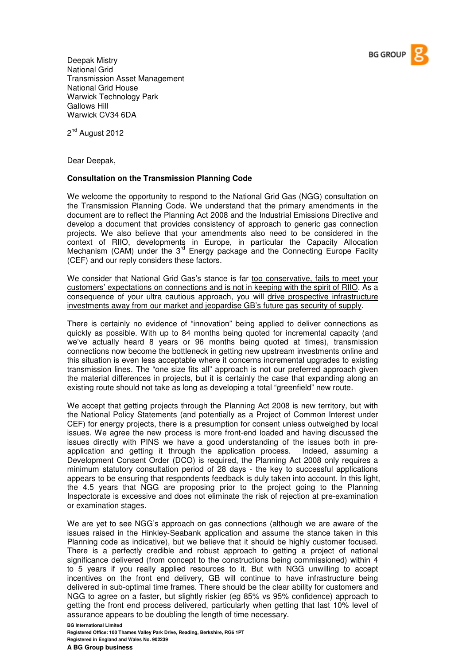

Deepak Mistry National Grid Transmission Asset Management National Grid House Warwick Technology Park Gallows Hill Warwick CV34 6DA

2<sup>nd</sup> August 2012

Dear Deepak,

## **Consultation on the Transmission Planning Code**

We welcome the opportunity to respond to the National Grid Gas (NGG) consultation on the Transmission Planning Code. We understand that the primary amendments in the document are to reflect the Planning Act 2008 and the Industrial Emissions Directive and develop a document that provides consistency of approach to generic gas connection projects. We also believe that your amendments also need to be considered in the context of RIIO, developments in Europe, in particular the Capacity Allocation Mechanism (CAM) under the  $3<sup>rd</sup>$  Energy package and the Connecting Europe Facilty (CEF) and our reply considers these factors.

We consider that National Grid Gas's stance is far too conservative, fails to meet your customers' expectations on connections and is not in keeping with the spirit of RIIO. As a consequence of your ultra cautious approach, you will drive prospective infrastructure investments away from our market and jeopardise GB's future gas security of supply.

There is certainly no evidence of "innovation" being applied to deliver connections as quickly as possible. With up to 84 months being quoted for incremental capacity (and we've actually heard 8 years or 96 months being quoted at times), transmission connections now become the bottleneck in getting new upstream investments online and this situation is even less acceptable where it concerns incremental upgrades to existing transmission lines. The "one size fits all" approach is not our preferred approach given the material differences in projects, but it is certainly the case that expanding along an existing route should not take as long as developing a total "greenfield" new route.

We accept that getting projects through the Planning Act 2008 is new territory, but with the National Policy Statements (and potentially as a Project of Common Interest under CEF) for energy projects, there is a presumption for consent unless outweighed by local issues. We agree the new process is more front-end loaded and having discussed the issues directly with PINS we have a good understanding of the issues both in preapplication and getting it through the application process. Indeed, assuming a Development Consent Order (DCO) is required, the Planning Act 2008 only requires a minimum statutory consultation period of 28 days - the key to successful applications appears to be ensuring that respondents feedback is duly taken into account. In this light, the 4.5 years that NGG are proposing prior to the project going to the Planning Inspectorate is excessive and does not eliminate the risk of rejection at pre-examination or examination stages.

We are yet to see NGG's approach on gas connections (although we are aware of the issues raised in the Hinkley-Seabank application and assume the stance taken in this Planning code as indicative), but we believe that it should be highly customer focused. There is a perfectly credible and robust approach to getting a project of national significance delivered (from concept to the constructions being commissioned) within 4 to 5 years if you really applied resources to it. But with NGG unwilling to accept incentives on the front end delivery, GB will continue to have infrastructure being delivered in sub-optimal time frames. There should be the clear ability for customers and NGG to agree on a faster, but slightly riskier (eg 85% vs 95% confidence) approach to getting the front end process delivered, particularly when getting that last 10% level of assurance appears to be doubling the length of time necessary.